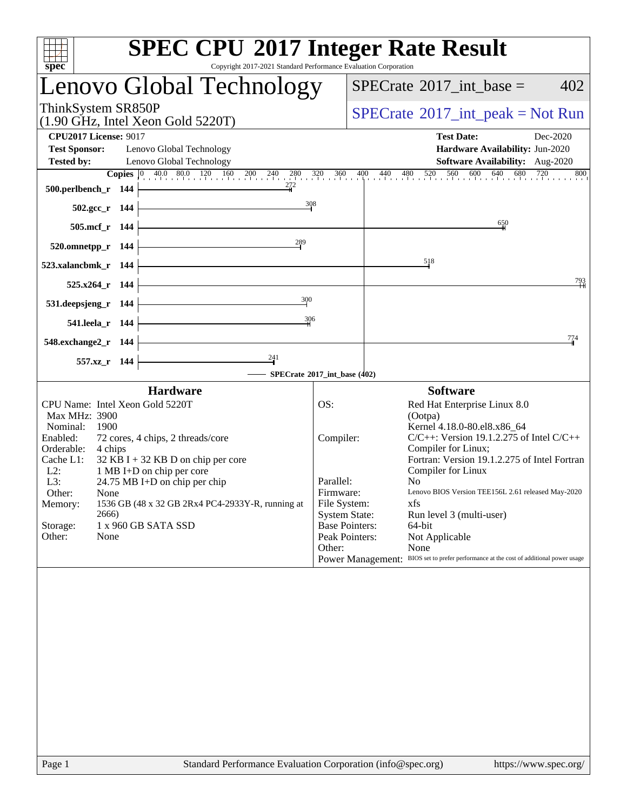| Copyright 2017-2021 Standard Performance Evaluation Corporation<br>$spec^*$                                                       | <b>SPEC CPU®2017 Integer Rate Result</b>                                                                                                                             |
|-----------------------------------------------------------------------------------------------------------------------------------|----------------------------------------------------------------------------------------------------------------------------------------------------------------------|
| Lenovo Global Technology                                                                                                          | $SPECTate$ <sup>®</sup> 2017_int_base =<br>402                                                                                                                       |
| ThinkSystem SR850P<br>$(1.90 \text{ GHz}, \text{Intel Xeon Gold } 5220 \text{T})$                                                 | $SPECTate$ <sup>®</sup> 2017_int_peak = Not Run                                                                                                                      |
| <b>CPU2017 License: 9017</b><br><b>Test Sponsor:</b><br>Lenovo Global Technology<br><b>Tested by:</b><br>Lenovo Global Technology | <b>Test Date:</b><br>Dec-2020<br>Hardware Availability: Jun-2020<br>Software Availability: Aug-2020                                                                  |
|                                                                                                                                   | <b>Copies</b> $\begin{bmatrix} 0 & 40.0 & 80.0 & 120 & 160 & 200 & 240 & 280 & 320 & 360 & 400 & 440 & 480 & 520 & 560 & 600 & 640 & 680 & 720 \end{bmatrix}$<br>800 |
| 272<br>500.perlbench_r 144                                                                                                        |                                                                                                                                                                      |
| $\frac{308}{4}$<br>$502.\text{gcc}_r$ 144                                                                                         |                                                                                                                                                                      |
| 505.mcf_r 144                                                                                                                     | 650                                                                                                                                                                  |
| 289<br>520.omnetpp_r 144                                                                                                          |                                                                                                                                                                      |
| 523.xalancbmk_r 144                                                                                                               | 518                                                                                                                                                                  |
|                                                                                                                                   | 793                                                                                                                                                                  |
| 525.x264_r 144                                                                                                                    |                                                                                                                                                                      |
| 300<br>531.deepsjeng_r 144                                                                                                        |                                                                                                                                                                      |
| 306<br>541.leela_r 144                                                                                                            |                                                                                                                                                                      |
| 548.exchange2_r 144                                                                                                               | 774                                                                                                                                                                  |
| $\frac{241}{ }$<br>557.xz_r 144                                                                                                   |                                                                                                                                                                      |
|                                                                                                                                   | SPECrate®2017_int_base (402)                                                                                                                                         |
| <b>Hardware</b>                                                                                                                   | <b>Software</b>                                                                                                                                                      |
| CPU Name: Intel Xeon Gold 5220T                                                                                                   | OS:<br>Red Hat Enterprise Linux 8.0                                                                                                                                  |
| Max MHz: 3900                                                                                                                     | (Ootpa)                                                                                                                                                              |
| Nominal:<br>1900<br>Enabled:<br>72 cores, 4 chips, 2 threads/core                                                                 | Kernel 4.18.0-80.el8.x86_64<br>$C/C++$ : Version 19.1.2.275 of Intel $C/C++$<br>Compiler:                                                                            |
| Orderable:<br>4 chips                                                                                                             | Compiler for Linux;                                                                                                                                                  |
| Cache L1:<br>$32$ KB I + 32 KB D on chip per core                                                                                 | Fortran: Version 19.1.2.275 of Intel Fortran                                                                                                                         |
| $L2$ :<br>1 MB I+D on chip per core                                                                                               | Compiler for Linux                                                                                                                                                   |
| L3:<br>24.75 MB I+D on chip per chip                                                                                              | Parallel:<br>N <sub>0</sub><br>Lenovo BIOS Version TEE156L 2.61 released May-2020                                                                                    |
| Other:<br>None<br>1536 GB (48 x 32 GB 2Rx4 PC4-2933Y-R, running at                                                                | Firmware:<br>File System:<br>xfs                                                                                                                                     |
| Memory:<br>2666)                                                                                                                  | <b>System State:</b><br>Run level 3 (multi-user)                                                                                                                     |
| Storage:<br>1 x 960 GB SATA SSD                                                                                                   | <b>Base Pointers:</b><br>64-bit                                                                                                                                      |
| Other:<br>None                                                                                                                    | Peak Pointers:<br>Not Applicable                                                                                                                                     |
|                                                                                                                                   | Other:<br>None                                                                                                                                                       |
|                                                                                                                                   | Power Management: BIOS set to prefer performance at the cost of additional power usage                                                                               |
|                                                                                                                                   |                                                                                                                                                                      |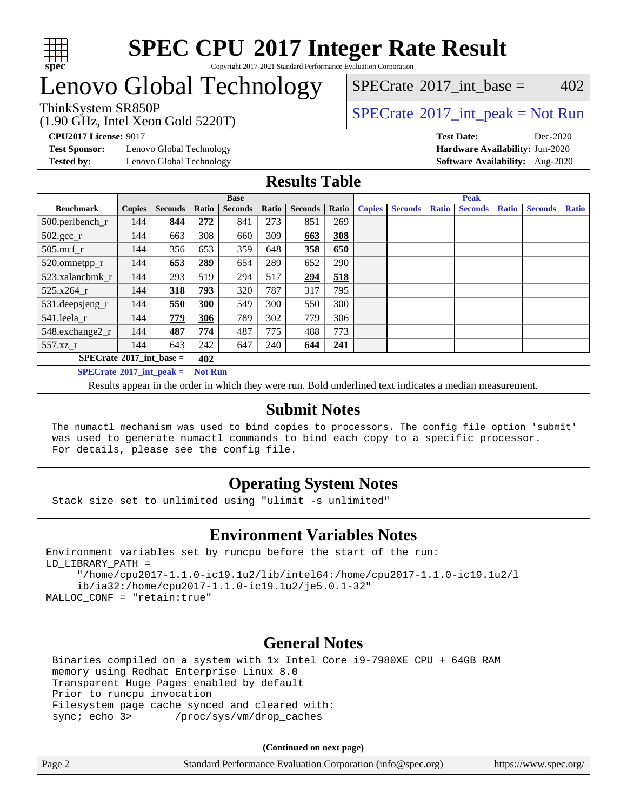

#### **[SPEC CPU](http://www.spec.org/auto/cpu2017/Docs/result-fields.html#SPECCPU2017IntegerRateResult)[2017 Integer Rate Result](http://www.spec.org/auto/cpu2017/Docs/result-fields.html#SPECCPU2017IntegerRateResult)** Copyright 2017-2021 Standard Performance Evaluation Corporation

## Lenovo Global Technology

ThinkSystem SR850P<br>  $(1.00 \text{ GHz. Intel Yes} \cdot \text{Cold} \cdot 5220 \text{T})$  [SPECrate](http://www.spec.org/auto/cpu2017/Docs/result-fields.html#SPECrate2017intpeak)®[2017\\_int\\_peak = N](http://www.spec.org/auto/cpu2017/Docs/result-fields.html#SPECrate2017intpeak)ot Run [SPECrate](http://www.spec.org/auto/cpu2017/Docs/result-fields.html#SPECrate2017intbase)<sup>®</sup>2017 int base =  $402$ 

(1.90 GHz, Intel Xeon Gold 5220T)

**[Test Sponsor:](http://www.spec.org/auto/cpu2017/Docs/result-fields.html#TestSponsor)** Lenovo Global Technology **[Hardware Availability:](http://www.spec.org/auto/cpu2017/Docs/result-fields.html#HardwareAvailability)** Jun-2020 **[Tested by:](http://www.spec.org/auto/cpu2017/Docs/result-fields.html#Testedby)** Lenovo Global Technology **[Software Availability:](http://www.spec.org/auto/cpu2017/Docs/result-fields.html#SoftwareAvailability)** Aug-2020

**[CPU2017 License:](http://www.spec.org/auto/cpu2017/Docs/result-fields.html#CPU2017License)** 9017 **[Test Date:](http://www.spec.org/auto/cpu2017/Docs/result-fields.html#TestDate)** Dec-2020

#### **[Results Table](http://www.spec.org/auto/cpu2017/Docs/result-fields.html#ResultsTable)**

|                                     | <b>Base</b>   |                |                |                |       |                |       |               | <b>Peak</b>    |              |                |              |                |              |  |
|-------------------------------------|---------------|----------------|----------------|----------------|-------|----------------|-------|---------------|----------------|--------------|----------------|--------------|----------------|--------------|--|
| <b>Benchmark</b>                    | <b>Copies</b> | <b>Seconds</b> | Ratio          | <b>Seconds</b> | Ratio | <b>Seconds</b> | Ratio | <b>Copies</b> | <b>Seconds</b> | <b>Ratio</b> | <b>Seconds</b> | <b>Ratio</b> | <b>Seconds</b> | <b>Ratio</b> |  |
| $500.$ perlbench_r                  | 144           | 844            | 272            | 841            | 273   | 851            | 269   |               |                |              |                |              |                |              |  |
| $502.\text{gcc}_r$                  | 144           | 663            | 308            | 660            | 309   | 663            | 308   |               |                |              |                |              |                |              |  |
| $505$ .mcf r                        | 144           | 356            | 653            | 359            | 648   | 358            | 650   |               |                |              |                |              |                |              |  |
| 520.omnetpp_r                       | 144           | 653            | 289            | 654            | 289   | 652            | 290   |               |                |              |                |              |                |              |  |
| 523.xalancbmk_r                     | 144           | 293            | 519            | 294            | 517   | 294            | 518   |               |                |              |                |              |                |              |  |
| 525.x264 r                          | 144           | 318            | 793            | 320            | 787   | 317            | 795   |               |                |              |                |              |                |              |  |
| 531.deepsjeng_r                     | 144           | 550            | 300            | 549            | 300   | 550            | 300   |               |                |              |                |              |                |              |  |
| 541.leela r                         | 144           | 779            | 306            | 789            | 302   | 779            | 306   |               |                |              |                |              |                |              |  |
| 548.exchange2_r                     | 144           | 487            | 774            | 487            | 775   | 488            | 773   |               |                |              |                |              |                |              |  |
| 557.xz r                            | 144           | 643            | 242            | 647            | 240   | 644            | 241   |               |                |              |                |              |                |              |  |
| $SPECrate^{\circ}2017\_int\_base =$ | 402           |                |                |                |       |                |       |               |                |              |                |              |                |              |  |
| $SPECrate^{\circ}2017$ int peak =   |               |                | <b>Not Run</b> |                |       |                |       |               |                |              |                |              |                |              |  |

Results appear in the [order in which they were run](http://www.spec.org/auto/cpu2017/Docs/result-fields.html#RunOrder). Bold underlined text [indicates a median measurement](http://www.spec.org/auto/cpu2017/Docs/result-fields.html#Median).

#### **[Submit Notes](http://www.spec.org/auto/cpu2017/Docs/result-fields.html#SubmitNotes)**

 The numactl mechanism was used to bind copies to processors. The config file option 'submit' was used to generate numactl commands to bind each copy to a specific processor. For details, please see the config file.

### **[Operating System Notes](http://www.spec.org/auto/cpu2017/Docs/result-fields.html#OperatingSystemNotes)**

Stack size set to unlimited using "ulimit -s unlimited"

#### **[Environment Variables Notes](http://www.spec.org/auto/cpu2017/Docs/result-fields.html#EnvironmentVariablesNotes)**

```
Environment variables set by runcpu before the start of the run:
LD_LIBRARY_PATH =
      "/home/cpu2017-1.1.0-ic19.1u2/lib/intel64:/home/cpu2017-1.1.0-ic19.1u2/l
      ib/ia32:/home/cpu2017-1.1.0-ic19.1u2/je5.0.1-32"
MALLOC_CONF = "retain:true"
```
#### **[General Notes](http://www.spec.org/auto/cpu2017/Docs/result-fields.html#GeneralNotes)**

 Binaries compiled on a system with 1x Intel Core i9-7980XE CPU + 64GB RAM memory using Redhat Enterprise Linux 8.0 Transparent Huge Pages enabled by default Prior to runcpu invocation Filesystem page cache synced and cleared with: sync; echo 3> /proc/sys/vm/drop\_caches

**(Continued on next page)**

| Page 2 | Standard Performance Evaluation Corporation (info@spec.org) | https://www.spec.org/ |
|--------|-------------------------------------------------------------|-----------------------|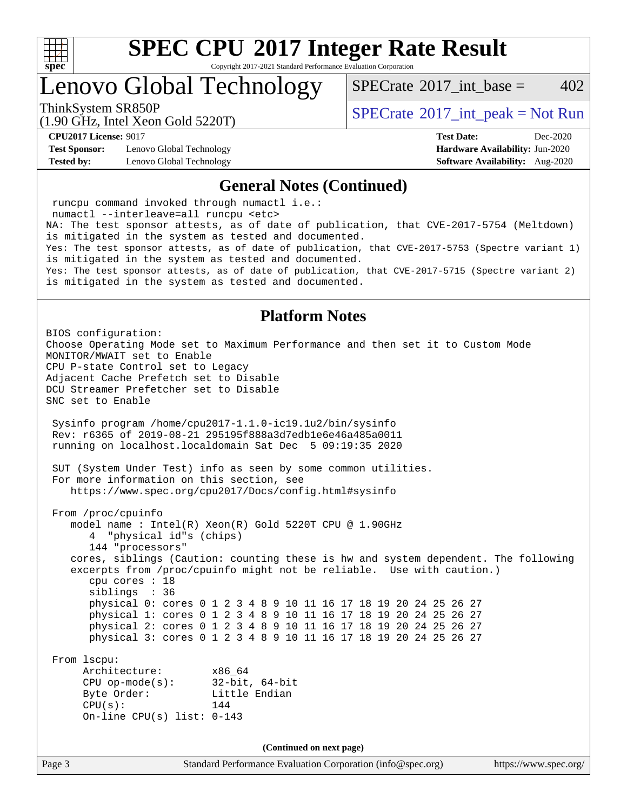

Copyright 2017-2021 Standard Performance Evaluation Corporation

Lenovo Global Technology

[SPECrate](http://www.spec.org/auto/cpu2017/Docs/result-fields.html#SPECrate2017intbase)<sup>®</sup>2017 int base =  $402$ 

(1.90 GHz, Intel Xeon Gold 5220T)

ThinkSystem SR850P<br>  $(1.00 \text{ GHz. Intel Yes} \cdot \text{Cold} \cdot 5200 \text{T})$   $\text{SPECTate} \cdot 2017$  int peak = Not Run

**[Test Sponsor:](http://www.spec.org/auto/cpu2017/Docs/result-fields.html#TestSponsor)** Lenovo Global Technology **[Hardware Availability:](http://www.spec.org/auto/cpu2017/Docs/result-fields.html#HardwareAvailability)** Jun-2020 **[Tested by:](http://www.spec.org/auto/cpu2017/Docs/result-fields.html#Testedby)** Lenovo Global Technology **[Software Availability:](http://www.spec.org/auto/cpu2017/Docs/result-fields.html#SoftwareAvailability)** Aug-2020

**[CPU2017 License:](http://www.spec.org/auto/cpu2017/Docs/result-fields.html#CPU2017License)** 9017 **[Test Date:](http://www.spec.org/auto/cpu2017/Docs/result-fields.html#TestDate)** Dec-2020

#### **[General Notes \(Continued\)](http://www.spec.org/auto/cpu2017/Docs/result-fields.html#GeneralNotes)**

 runcpu command invoked through numactl i.e.: numactl --interleave=all runcpu <etc> NA: The test sponsor attests, as of date of publication, that CVE-2017-5754 (Meltdown) is mitigated in the system as tested and documented. Yes: The test sponsor attests, as of date of publication, that CVE-2017-5753 (Spectre variant 1) is mitigated in the system as tested and documented. Yes: The test sponsor attests, as of date of publication, that CVE-2017-5715 (Spectre variant 2) is mitigated in the system as tested and documented.

#### **[Platform Notes](http://www.spec.org/auto/cpu2017/Docs/result-fields.html#PlatformNotes)**

Page 3 Standard Performance Evaluation Corporation [\(info@spec.org\)](mailto:info@spec.org) <https://www.spec.org/> BIOS configuration: Choose Operating Mode set to Maximum Performance and then set it to Custom Mode MONITOR/MWAIT set to Enable CPU P-state Control set to Legacy Adjacent Cache Prefetch set to Disable DCU Streamer Prefetcher set to Disable SNC set to Enable Sysinfo program /home/cpu2017-1.1.0-ic19.1u2/bin/sysinfo Rev: r6365 of 2019-08-21 295195f888a3d7edb1e6e46a485a0011 running on localhost.localdomain Sat Dec 5 09:19:35 2020 SUT (System Under Test) info as seen by some common utilities. For more information on this section, see <https://www.spec.org/cpu2017/Docs/config.html#sysinfo> From /proc/cpuinfo model name : Intel(R) Xeon(R) Gold 5220T CPU @ 1.90GHz 4 "physical id"s (chips) 144 "processors" cores, siblings (Caution: counting these is hw and system dependent. The following excerpts from /proc/cpuinfo might not be reliable. Use with caution.) cpu cores : 18 siblings : 36 physical 0: cores 0 1 2 3 4 8 9 10 11 16 17 18 19 20 24 25 26 27 physical 1: cores 0 1 2 3 4 8 9 10 11 16 17 18 19 20 24 25 26 27 physical 2: cores 0 1 2 3 4 8 9 10 11 16 17 18 19 20 24 25 26 27 physical 3: cores 0 1 2 3 4 8 9 10 11 16 17 18 19 20 24 25 26 27 From lscpu: Architecture: x86\_64 CPU op-mode(s): 32-bit, 64-bit Byte Order: Little Endian  $CPU(s):$  144 On-line CPU(s) list: 0-143 **(Continued on next page)**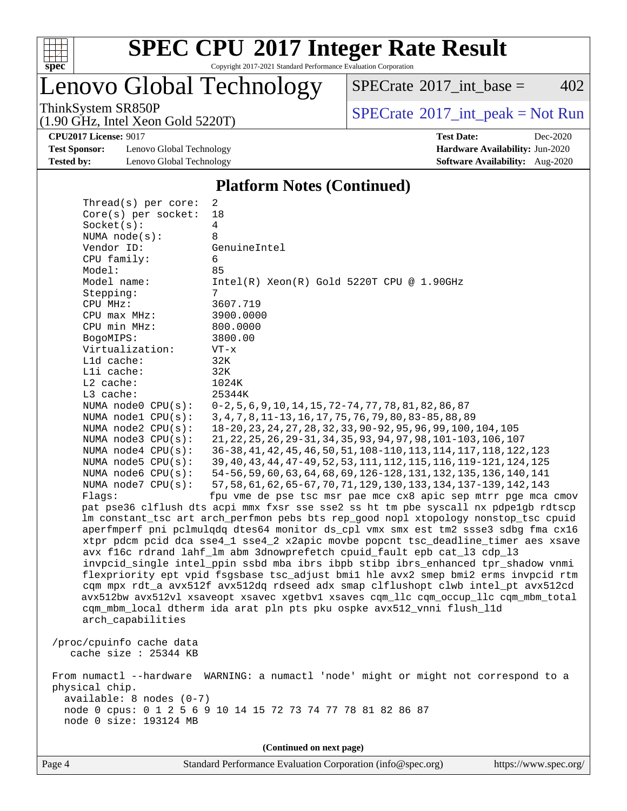

Copyright 2017-2021 Standard Performance Evaluation Corporation

Lenovo Global Technology

 $SPECTate$ <sup>®</sup>[2017\\_int\\_base =](http://www.spec.org/auto/cpu2017/Docs/result-fields.html#SPECrate2017intbase) 402

(1.90 GHz, Intel Xeon Gold 5220T)

ThinkSystem SR850P<br>(1.00 GHz, Intel Year Gald 5220T) [SPECrate](http://www.spec.org/auto/cpu2017/Docs/result-fields.html#SPECrate2017intpeak)®[2017\\_int\\_peak = N](http://www.spec.org/auto/cpu2017/Docs/result-fields.html#SPECrate2017intpeak)ot Run

**[CPU2017 License:](http://www.spec.org/auto/cpu2017/Docs/result-fields.html#CPU2017License)** 9017 **[Test Date:](http://www.spec.org/auto/cpu2017/Docs/result-fields.html#TestDate)** Dec-2020

**[Test Sponsor:](http://www.spec.org/auto/cpu2017/Docs/result-fields.html#TestSponsor)** Lenovo Global Technology **[Hardware Availability:](http://www.spec.org/auto/cpu2017/Docs/result-fields.html#HardwareAvailability)** Jun-2020 **[Tested by:](http://www.spec.org/auto/cpu2017/Docs/result-fields.html#Testedby)** Lenovo Global Technology **[Software Availability:](http://www.spec.org/auto/cpu2017/Docs/result-fields.html#SoftwareAvailability)** Aug-2020

**[Platform Notes \(Continued\)](http://www.spec.org/auto/cpu2017/Docs/result-fields.html#PlatformNotes)**

| Thread(s) per core:                      | 2                                                                                                                                                                      |
|------------------------------------------|------------------------------------------------------------------------------------------------------------------------------------------------------------------------|
| Core(s) per socket:                      | 18                                                                                                                                                                     |
| Socket(s):                               | $\overline{4}$                                                                                                                                                         |
| NUMA $node(s):$<br>Vendor ID:            | 8<br>GenuineIntel                                                                                                                                                      |
| CPU family:                              | 6                                                                                                                                                                      |
| Model:                                   | 85                                                                                                                                                                     |
| Model name:                              | $Intel(R) Xeon(R) Gold 5220T CPU @ 1.90GHz$                                                                                                                            |
| Stepping:                                | 7                                                                                                                                                                      |
| CPU MHz:                                 | 3607.719                                                                                                                                                               |
| $CPU$ max $MHz$ :                        | 3900.0000                                                                                                                                                              |
| CPU min MHz:                             | 800.0000                                                                                                                                                               |
| BogoMIPS:                                | 3800.00                                                                                                                                                                |
| Virtualization:                          | $VT - x$                                                                                                                                                               |
| Lld cache:                               | 32K                                                                                                                                                                    |
| Lli cache:                               | 32K                                                                                                                                                                    |
| $L2$ cache:                              | 1024K                                                                                                                                                                  |
| L3 cache:                                | 25344K                                                                                                                                                                 |
| NUMA node0 CPU(s):<br>NUMA nodel CPU(s): | $0-2, 5, 6, 9, 10, 14, 15, 72-74, 77, 78, 81, 82, 86, 87$<br>3, 4, 7, 8, 11-13, 16, 17, 75, 76, 79, 80, 83-85, 88, 89                                                  |
| NUMA $node2$ $CPU(s)$ :                  | 18-20, 23, 24, 27, 28, 32, 33, 90-92, 95, 96, 99, 100, 104, 105                                                                                                        |
| NUMA node3 CPU(s):                       | 21, 22, 25, 26, 29-31, 34, 35, 93, 94, 97, 98, 101-103, 106, 107                                                                                                       |
| NUMA $node4$ $CPU(s):$                   | 36-38, 41, 42, 45, 46, 50, 51, 108-110, 113, 114, 117, 118, 122, 123                                                                                                   |
| NUMA node5 CPU(s):                       | 39, 40, 43, 44, 47-49, 52, 53, 111, 112, 115, 116, 119-121, 124, 125                                                                                                   |
| NUMA node6 CPU(s):                       | 54-56, 59, 60, 63, 64, 68, 69, 126-128, 131, 132, 135, 136, 140, 141                                                                                                   |
| NUMA node7 CPU(s):                       | 57, 58, 61, 62, 65-67, 70, 71, 129, 130, 133, 134, 137-139, 142, 143                                                                                                   |
| Flags:                                   | fpu vme de pse tsc msr pae mce cx8 apic sep mtrr pge mca cmov                                                                                                          |
|                                          | pat pse36 clflush dts acpi mmx fxsr sse sse2 ss ht tm pbe syscall nx pdpe1gb rdtscp                                                                                    |
|                                          | lm constant_tsc art arch_perfmon pebs bts rep_good nopl xtopology nonstop_tsc cpuid                                                                                    |
|                                          | aperfmperf pni pclmulqdq dtes64 monitor ds_cpl vmx smx est tm2 ssse3 sdbg fma cx16                                                                                     |
|                                          | xtpr pdcm pcid dca sse4_1 sse4_2 x2apic movbe popcnt tsc_deadline_timer aes xsave                                                                                      |
|                                          | avx f16c rdrand lahf_lm abm 3dnowprefetch cpuid_fault epb cat_13 cdp_13                                                                                                |
|                                          | invpcid_single intel_ppin ssbd mba ibrs ibpb stibp ibrs_enhanced tpr_shadow vnmi                                                                                       |
|                                          | flexpriority ept vpid fsgsbase tsc_adjust bmil hle avx2 smep bmi2 erms invpcid rtm<br>cqm mpx rdt_a avx512f avx512dq rdseed adx smap clflushopt clwb intel_pt avx512cd |
|                                          | avx512bw avx512vl xsaveopt xsavec xgetbvl xsaves cqm_llc cqm_occup_llc cqm_mbm_total                                                                                   |
|                                          | cqm_mbm_local dtherm ida arat pln pts pku ospke avx512_vnni flush_l1d                                                                                                  |
| arch capabilities                        |                                                                                                                                                                        |
|                                          |                                                                                                                                                                        |
| /proc/cpuinfo cache data                 |                                                                                                                                                                        |
| cache size $: 25344$ KB                  |                                                                                                                                                                        |
|                                          |                                                                                                                                                                        |
|                                          | From numactl --hardware WARNING: a numactl 'node' might or might not correspond to a                                                                                   |
| physical chip.                           |                                                                                                                                                                        |
| $available: 8 nodes (0-7)$               |                                                                                                                                                                        |
|                                          | node 0 cpus: 0 1 2 5 6 9 10 14 15 72 73 74 77 78 81 82 86 87                                                                                                           |
| node 0 size: 193124 MB                   |                                                                                                                                                                        |
|                                          |                                                                                                                                                                        |
|                                          | (Continued on next page)                                                                                                                                               |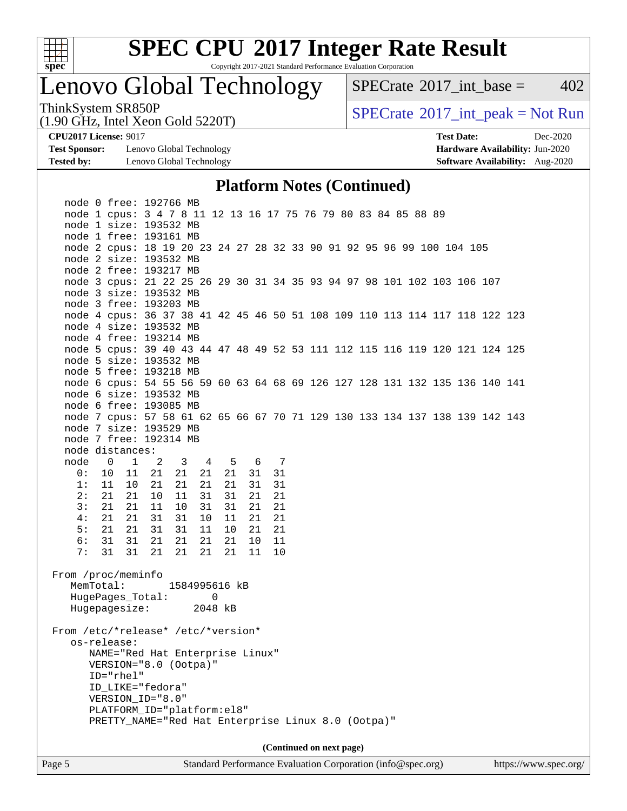

Copyright 2017-2021 Standard Performance Evaluation Corporation

## Lenovo Global Technology

 $SPECTate@2017_int\_base = 402$ 

(1.90 GHz, Intel Xeon Gold 5220T)

ThinkSystem SR850P<br>(1.90 GHz, Intel Xeon Gold 5220T) [SPECrate](http://www.spec.org/auto/cpu2017/Docs/result-fields.html#SPECrate2017intpeak)®[2017\\_int\\_peak = N](http://www.spec.org/auto/cpu2017/Docs/result-fields.html#SPECrate2017intpeak)ot Run

**[Test Sponsor:](http://www.spec.org/auto/cpu2017/Docs/result-fields.html#TestSponsor)** Lenovo Global Technology **[Hardware Availability:](http://www.spec.org/auto/cpu2017/Docs/result-fields.html#HardwareAvailability)** Jun-2020 **[Tested by:](http://www.spec.org/auto/cpu2017/Docs/result-fields.html#Testedby)** Lenovo Global Technology **[Software Availability:](http://www.spec.org/auto/cpu2017/Docs/result-fields.html#SoftwareAvailability)** Aug-2020

**[CPU2017 License:](http://www.spec.org/auto/cpu2017/Docs/result-fields.html#CPU2017License)** 9017 **[Test Date:](http://www.spec.org/auto/cpu2017/Docs/result-fields.html#TestDate)** Dec-2020

#### **[Platform Notes \(Continued\)](http://www.spec.org/auto/cpu2017/Docs/result-fields.html#PlatformNotes)**

| Page 5                             |                                                                             |          |       |               |                |    |    |    |  | Standard Performance Evaluation Corporation (info@spec.org) |  |  |  | https://www.spec.org/ |  |
|------------------------------------|-----------------------------------------------------------------------------|----------|-------|---------------|----------------|----|----|----|--|-------------------------------------------------------------|--|--|--|-----------------------|--|
|                                    |                                                                             |          |       |               |                |    |    |    |  | (Continued on next page)                                    |  |  |  |                       |  |
|                                    |                                                                             |          |       |               |                |    |    |    |  |                                                             |  |  |  |                       |  |
|                                    | PRETTY_NAME="Red Hat Enterprise Linux 8.0 (Ootpa)"                          |          |       |               |                |    |    |    |  |                                                             |  |  |  |                       |  |
|                                    | PLATFORM_ID="platform:el8"                                                  |          |       |               |                |    |    |    |  |                                                             |  |  |  |                       |  |
|                                    | VERSION_ID="8.0"                                                            |          |       |               |                |    |    |    |  |                                                             |  |  |  |                       |  |
|                                    | ID_LIKE="fedora"                                                            |          |       |               |                |    |    |    |  |                                                             |  |  |  |                       |  |
|                                    | ID="rhel"                                                                   |          |       |               |                |    |    |    |  |                                                             |  |  |  |                       |  |
|                                    | VERSION="8.0 (Ootpa)"                                                       |          |       |               |                |    |    |    |  |                                                             |  |  |  |                       |  |
|                                    | NAME="Red Hat Enterprise Linux"                                             |          |       |               |                |    |    |    |  |                                                             |  |  |  |                       |  |
| From /etc/*release* /etc/*version* | os-release:                                                                 |          |       |               |                |    |    |    |  |                                                             |  |  |  |                       |  |
|                                    |                                                                             |          |       |               |                |    |    |    |  |                                                             |  |  |  |                       |  |
|                                    |                                                                             |          |       |               | 2048 kB        |    |    |    |  |                                                             |  |  |  |                       |  |
|                                    | HugePages_Total:<br>Hugepagesize:                                           |          |       |               | $\overline{0}$ |    |    |    |  |                                                             |  |  |  |                       |  |
|                                    | MemTotal:                                                                   |          |       | 1584995616 kB |                |    |    |    |  |                                                             |  |  |  |                       |  |
| From /proc/meminfo                 |                                                                             |          |       |               |                |    |    |    |  |                                                             |  |  |  |                       |  |
|                                    |                                                                             |          |       |               |                |    |    |    |  |                                                             |  |  |  |                       |  |
| 7:                                 |                                                                             | 31 31 21 |       | 21            | 21             | 21 | 11 | 10 |  |                                                             |  |  |  |                       |  |
| 6:                                 | 31 31                                                                       |          | 21    | 21            | 21             | 21 | 10 | 11 |  |                                                             |  |  |  |                       |  |
| 5:                                 | 21                                                                          | 21       | 31    | 31            | 11             | 10 | 21 | 21 |  |                                                             |  |  |  |                       |  |
| 4:                                 | 21                                                                          | 21       | 31    | 31            | 10             | 11 | 21 | 21 |  |                                                             |  |  |  |                       |  |
| 3:                                 | 21                                                                          | 21       | 11    | 10            | 31             | 31 | 21 | 21 |  |                                                             |  |  |  |                       |  |
| 2:                                 | 21                                                                          | 21       | 10    | 11            | 31             | 31 | 21 | 21 |  |                                                             |  |  |  |                       |  |
| 1:                                 | 11                                                                          | 10       | 21    | 21            | 21             | 21 | 31 | 31 |  |                                                             |  |  |  |                       |  |
| 0:                                 | 10                                                                          |          | 11 21 | 21            | 21             | 21 | 31 | 31 |  |                                                             |  |  |  |                       |  |
| node                               | $0 \quad 1 \quad 2$                                                         |          |       | 3 4 5 6 7     |                |    |    |    |  |                                                             |  |  |  |                       |  |
|                                    | node distances:                                                             |          |       |               |                |    |    |    |  |                                                             |  |  |  |                       |  |
|                                    | node 7 free: 192314 MB                                                      |          |       |               |                |    |    |    |  |                                                             |  |  |  |                       |  |
|                                    | node 7 size: 193529 MB                                                      |          |       |               |                |    |    |    |  |                                                             |  |  |  |                       |  |
|                                    | node 7 cpus: 57 58 61 62 65 66 67 70 71 129 130 133 134 137 138 139 142 143 |          |       |               |                |    |    |    |  |                                                             |  |  |  |                       |  |
|                                    | node 6 free: 193085 MB                                                      |          |       |               |                |    |    |    |  |                                                             |  |  |  |                       |  |
|                                    | node 6 size: 193532 MB                                                      |          |       |               |                |    |    |    |  |                                                             |  |  |  |                       |  |
|                                    | node 6 cpus: 54 55 56 59 60 63 64 68 69 126 127 128 131 132 135 136 140 141 |          |       |               |                |    |    |    |  |                                                             |  |  |  |                       |  |
|                                    | node 5 free: 193218 MB                                                      |          |       |               |                |    |    |    |  |                                                             |  |  |  |                       |  |
|                                    | node 5 size: 193532 MB                                                      |          |       |               |                |    |    |    |  |                                                             |  |  |  |                       |  |
|                                    | node 5 cpus: 39 40 43 44 47 48 49 52 53 111 112 115 116 119 120 121 124 125 |          |       |               |                |    |    |    |  |                                                             |  |  |  |                       |  |
|                                    | node 4 free: 193214 MB                                                      |          |       |               |                |    |    |    |  |                                                             |  |  |  |                       |  |
|                                    | node 4 size: 193532 MB                                                      |          |       |               |                |    |    |    |  |                                                             |  |  |  |                       |  |
|                                    | node 4 cpus: 36 37 38 41 42 45 46 50 51 108 109 110 113 114 117 118 122 123 |          |       |               |                |    |    |    |  |                                                             |  |  |  |                       |  |
|                                    | node 3 free: 193203 MB                                                      |          |       |               |                |    |    |    |  |                                                             |  |  |  |                       |  |
|                                    | node 3 size: 193532 MB                                                      |          |       |               |                |    |    |    |  |                                                             |  |  |  |                       |  |
|                                    | node 3 cpus: 21 22 25 26 29 30 31 34 35 93 94 97 98 101 102 103 106 107     |          |       |               |                |    |    |    |  |                                                             |  |  |  |                       |  |
|                                    | node 2 free: 193217 MB                                                      |          |       |               |                |    |    |    |  |                                                             |  |  |  |                       |  |
|                                    | node 2 size: 193532 MB                                                      |          |       |               |                |    |    |    |  |                                                             |  |  |  |                       |  |
|                                    | node 2 cpus: 18 19 20 23 24 27 28 32 33 90 91 92 95 96 99 100 104 105       |          |       |               |                |    |    |    |  |                                                             |  |  |  |                       |  |
|                                    | node 1 free: 193161 MB                                                      |          |       |               |                |    |    |    |  |                                                             |  |  |  |                       |  |
|                                    | node 1 size: 193532 MB                                                      |          |       |               |                |    |    |    |  |                                                             |  |  |  |                       |  |
|                                    | node 1 cpus: 3 4 7 8 11 12 13 16 17 75 76 79 80 83 84 85 88 89              |          |       |               |                |    |    |    |  |                                                             |  |  |  |                       |  |
|                                    | node 0 free: 192766 MB                                                      |          |       |               |                |    |    |    |  |                                                             |  |  |  |                       |  |
|                                    |                                                                             |          |       |               |                |    |    |    |  |                                                             |  |  |  |                       |  |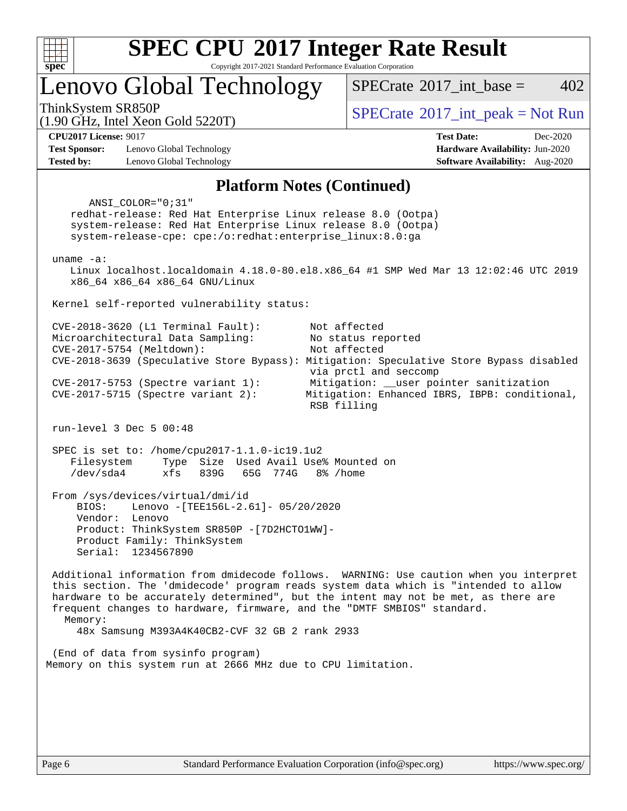

Copyright 2017-2021 Standard Performance Evaluation Corporation

Lenovo Global Technology

ThinkSystem SR850P<br>(1.00 CHz, Intel Year Gald 5220T)  $\begin{array}{c} \text{SPECrate} \textcirc 2017\_int\_peak = Not Run \end{array}$  $\begin{array}{c} \text{SPECrate} \textcirc 2017\_int\_peak = Not Run \end{array}$  $\begin{array}{c} \text{SPECrate} \textcirc 2017\_int\_peak = Not Run \end{array}$ 

[SPECrate](http://www.spec.org/auto/cpu2017/Docs/result-fields.html#SPECrate2017intbase)<sup>®</sup>2017 int base =  $402$ 

(1.90 GHz, Intel Xeon Gold 5220T)

**[Test Sponsor:](http://www.spec.org/auto/cpu2017/Docs/result-fields.html#TestSponsor)** Lenovo Global Technology **[Hardware Availability:](http://www.spec.org/auto/cpu2017/Docs/result-fields.html#HardwareAvailability)** Jun-2020 **[Tested by:](http://www.spec.org/auto/cpu2017/Docs/result-fields.html#Testedby)** Lenovo Global Technology **[Software Availability:](http://www.spec.org/auto/cpu2017/Docs/result-fields.html#SoftwareAvailability)** Aug-2020

**[CPU2017 License:](http://www.spec.org/auto/cpu2017/Docs/result-fields.html#CPU2017License)** 9017 **[Test Date:](http://www.spec.org/auto/cpu2017/Docs/result-fields.html#TestDate)** Dec-2020

#### **[Platform Notes \(Continued\)](http://www.spec.org/auto/cpu2017/Docs/result-fields.html#PlatformNotes)**

 ANSI\_COLOR="0;31" redhat-release: Red Hat Enterprise Linux release 8.0 (Ootpa) system-release: Red Hat Enterprise Linux release 8.0 (Ootpa) system-release-cpe: cpe:/o:redhat:enterprise\_linux:8.0:ga uname -a: Linux localhost.localdomain 4.18.0-80.el8.x86\_64 #1 SMP Wed Mar 13 12:02:46 UTC 2019 x86\_64 x86\_64 x86\_64 GNU/Linux Kernel self-reported vulnerability status: CVE-2018-3620 (L1 Terminal Fault): Not affected Microarchitectural Data Sampling: No status reported CVE-2017-5754 (Meltdown): Not affected CVE-2018-3639 (Speculative Store Bypass): Mitigation: Speculative Store Bypass disabled via prctl and seccomp CVE-2017-5753 (Spectre variant 1): Mitigation: \_\_user pointer sanitization CVE-2017-5715 (Spectre variant 2): Mitigation: Enhanced IBRS, IBPB: conditional, RSB filling run-level 3 Dec 5 00:48 SPEC is set to: /home/cpu2017-1.1.0-ic19.1u2 Filesystem Type Size Used Avail Use% Mounted on /dev/sda4 xfs 839G 65G 774G 8% /home From /sys/devices/virtual/dmi/id BIOS: Lenovo -[TEE156L-2.61]- 05/20/2020 Vendor: Lenovo Product: ThinkSystem SR850P -[7D2HCTO1WW]- Product Family: ThinkSystem Serial: 1234567890 Additional information from dmidecode follows. WARNING: Use caution when you interpret this section. The 'dmidecode' program reads system data which is "intended to allow hardware to be accurately determined", but the intent may not be met, as there are frequent changes to hardware, firmware, and the "DMTF SMBIOS" standard. Memory: 48x Samsung M393A4K40CB2-CVF 32 GB 2 rank 2933 (End of data from sysinfo program) Memory on this system run at 2666 MHz due to CPU limitation.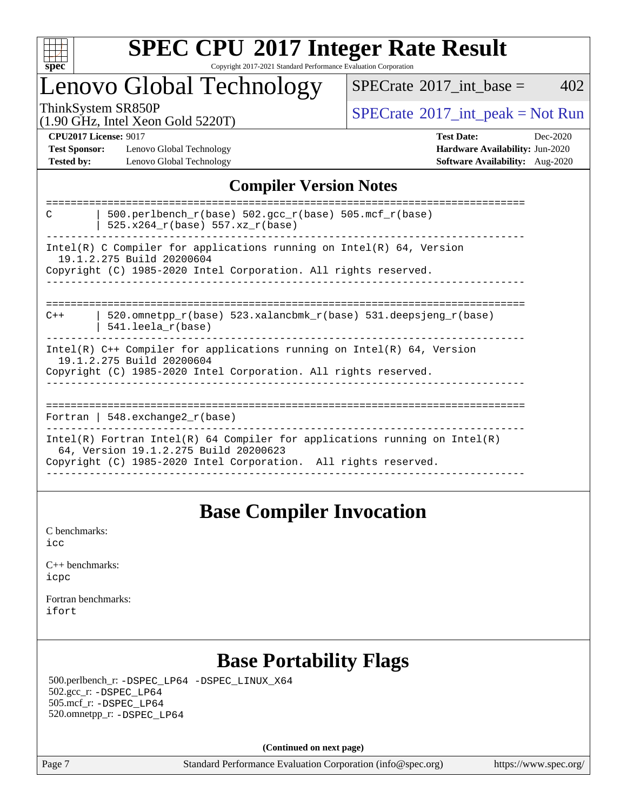

#### **[SPEC CPU](http://www.spec.org/auto/cpu2017/Docs/result-fields.html#SPECCPU2017IntegerRateResult)[2017 Integer Rate Result](http://www.spec.org/auto/cpu2017/Docs/result-fields.html#SPECCPU2017IntegerRateResult)** Copyright 2017-2021 Standard Performance Evaluation Corporation

### Lenovo Global Technology

 $SPECTate$ <sup>®</sup>[2017\\_int\\_base =](http://www.spec.org/auto/cpu2017/Docs/result-fields.html#SPECrate2017intbase) 402

(1.90 GHz, Intel Xeon Gold 5220T)

ThinkSystem SR850P<br>(1.00 GHz, Intel Year Gold 5220T) [SPECrate](http://www.spec.org/auto/cpu2017/Docs/result-fields.html#SPECrate2017intpeak)®[2017\\_int\\_peak = N](http://www.spec.org/auto/cpu2017/Docs/result-fields.html#SPECrate2017intpeak)ot Run

**[Test Sponsor:](http://www.spec.org/auto/cpu2017/Docs/result-fields.html#TestSponsor)** Lenovo Global Technology **[Hardware Availability:](http://www.spec.org/auto/cpu2017/Docs/result-fields.html#HardwareAvailability)** Jun-2020 **[Tested by:](http://www.spec.org/auto/cpu2017/Docs/result-fields.html#Testedby)** Lenovo Global Technology **[Software Availability:](http://www.spec.org/auto/cpu2017/Docs/result-fields.html#SoftwareAvailability)** Aug-2020

**[CPU2017 License:](http://www.spec.org/auto/cpu2017/Docs/result-fields.html#CPU2017License)** 9017 **[Test Date:](http://www.spec.org/auto/cpu2017/Docs/result-fields.html#TestDate)** Dec-2020

### **[Compiler Version Notes](http://www.spec.org/auto/cpu2017/Docs/result-fields.html#CompilerVersionNotes)**

| 500.perlbench_r(base) 502.gcc_r(base) 505.mcf_r(base)<br>C<br>$525.x264_r(base) 557.xz_r(base)$                          |
|--------------------------------------------------------------------------------------------------------------------------|
| Intel(R) C Compiler for applications running on Intel(R) $64$ , Version                                                  |
| 19.1.2.275 Build 20200604<br>Copyright (C) 1985-2020 Intel Corporation. All rights reserved.                             |
|                                                                                                                          |
|                                                                                                                          |
| ======================================<br>520.omnetpp $r(base)$ 523.xalancbmk $r(base)$ 531.deepsjeng $r(base)$<br>$C++$ |
| $541.$ leela r(base)                                                                                                     |
| Intel(R) $C++$ Compiler for applications running on Intel(R) 64, Version                                                 |
| 19.1.2.275 Build 20200604                                                                                                |
| Copyright (C) 1985-2020 Intel Corporation. All rights reserved.                                                          |
|                                                                                                                          |
|                                                                                                                          |
| Fortran   548.exchange2 $r(base)$                                                                                        |
| Intel(R) Fortran Intel(R) 64 Compiler for applications running on Intel(R)                                               |
| 64, Version 19.1.2.275 Build 20200623<br>Copyright (C) 1985-2020 Intel Corporation. All rights reserved.                 |
|                                                                                                                          |

### **[Base Compiler Invocation](http://www.spec.org/auto/cpu2017/Docs/result-fields.html#BaseCompilerInvocation)**

[C benchmarks](http://www.spec.org/auto/cpu2017/Docs/result-fields.html#Cbenchmarks): [icc](http://www.spec.org/cpu2017/results/res2021q1/cpu2017-20201221-24592.flags.html#user_CCbase_intel_icc_66fc1ee009f7361af1fbd72ca7dcefbb700085f36577c54f309893dd4ec40d12360134090235512931783d35fd58c0460139e722d5067c5574d8eaf2b3e37e92)

| $C_{++}$ benchmarks: |  |
|----------------------|--|
| icpc                 |  |

[Fortran benchmarks](http://www.spec.org/auto/cpu2017/Docs/result-fields.html#Fortranbenchmarks): [ifort](http://www.spec.org/cpu2017/results/res2021q1/cpu2017-20201221-24592.flags.html#user_FCbase_intel_ifort_8111460550e3ca792625aed983ce982f94888b8b503583aa7ba2b8303487b4d8a21a13e7191a45c5fd58ff318f48f9492884d4413fa793fd88dd292cad7027ca)

### **[Base Portability Flags](http://www.spec.org/auto/cpu2017/Docs/result-fields.html#BasePortabilityFlags)**

 500.perlbench\_r: [-DSPEC\\_LP64](http://www.spec.org/cpu2017/results/res2021q1/cpu2017-20201221-24592.flags.html#b500.perlbench_r_basePORTABILITY_DSPEC_LP64) [-DSPEC\\_LINUX\\_X64](http://www.spec.org/cpu2017/results/res2021q1/cpu2017-20201221-24592.flags.html#b500.perlbench_r_baseCPORTABILITY_DSPEC_LINUX_X64) 502.gcc\_r: [-DSPEC\\_LP64](http://www.spec.org/cpu2017/results/res2021q1/cpu2017-20201221-24592.flags.html#suite_basePORTABILITY502_gcc_r_DSPEC_LP64) 505.mcf\_r: [-DSPEC\\_LP64](http://www.spec.org/cpu2017/results/res2021q1/cpu2017-20201221-24592.flags.html#suite_basePORTABILITY505_mcf_r_DSPEC_LP64) 520.omnetpp\_r: [-DSPEC\\_LP64](http://www.spec.org/cpu2017/results/res2021q1/cpu2017-20201221-24592.flags.html#suite_basePORTABILITY520_omnetpp_r_DSPEC_LP64)

**(Continued on next page)**

Page 7 Standard Performance Evaluation Corporation [\(info@spec.org\)](mailto:info@spec.org) <https://www.spec.org/>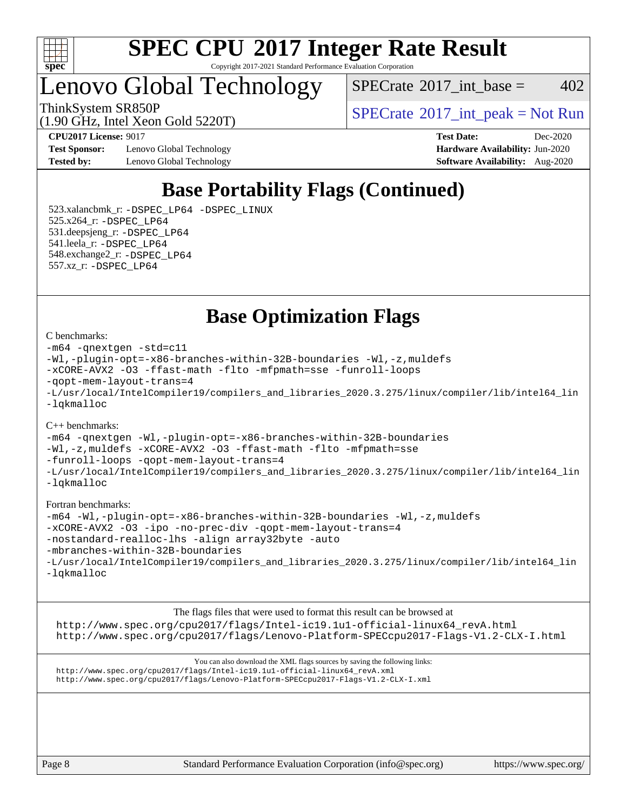

#### **[SPEC CPU](http://www.spec.org/auto/cpu2017/Docs/result-fields.html#SPECCPU2017IntegerRateResult)[2017 Integer Rate Result](http://www.spec.org/auto/cpu2017/Docs/result-fields.html#SPECCPU2017IntegerRateResult)** Copyright 2017-2021 Standard Performance Evaluation Corporation

Lenovo Global Technology

 $SPECTate$ <sup>®</sup>[2017\\_int\\_base =](http://www.spec.org/auto/cpu2017/Docs/result-fields.html#SPECrate2017intbase) 402

(1.90 GHz, Intel Xeon Gold 5220T)

ThinkSystem SR850P<br>  $(1.00 \text{ GHz. Intel Yes} \cdot \text{Cold} \cdot 5200 \text{T})$   $\text{SPECTate} \cdot 2017$  int peak = Not Run

**[Test Sponsor:](http://www.spec.org/auto/cpu2017/Docs/result-fields.html#TestSponsor)** Lenovo Global Technology **[Hardware Availability:](http://www.spec.org/auto/cpu2017/Docs/result-fields.html#HardwareAvailability)** Jun-2020 **[Tested by:](http://www.spec.org/auto/cpu2017/Docs/result-fields.html#Testedby)** Lenovo Global Technology **[Software Availability:](http://www.spec.org/auto/cpu2017/Docs/result-fields.html#SoftwareAvailability)** Aug-2020

**[CPU2017 License:](http://www.spec.org/auto/cpu2017/Docs/result-fields.html#CPU2017License)** 9017 **[Test Date:](http://www.spec.org/auto/cpu2017/Docs/result-fields.html#TestDate)** Dec-2020

### **[Base Portability Flags \(Continued\)](http://www.spec.org/auto/cpu2017/Docs/result-fields.html#BasePortabilityFlags)**

 523.xalancbmk\_r: [-DSPEC\\_LP64](http://www.spec.org/cpu2017/results/res2021q1/cpu2017-20201221-24592.flags.html#suite_basePORTABILITY523_xalancbmk_r_DSPEC_LP64) [-DSPEC\\_LINUX](http://www.spec.org/cpu2017/results/res2021q1/cpu2017-20201221-24592.flags.html#b523.xalancbmk_r_baseCXXPORTABILITY_DSPEC_LINUX) 525.x264\_r: [-DSPEC\\_LP64](http://www.spec.org/cpu2017/results/res2021q1/cpu2017-20201221-24592.flags.html#suite_basePORTABILITY525_x264_r_DSPEC_LP64) 531.deepsjeng\_r: [-DSPEC\\_LP64](http://www.spec.org/cpu2017/results/res2021q1/cpu2017-20201221-24592.flags.html#suite_basePORTABILITY531_deepsjeng_r_DSPEC_LP64) 541.leela\_r: [-DSPEC\\_LP64](http://www.spec.org/cpu2017/results/res2021q1/cpu2017-20201221-24592.flags.html#suite_basePORTABILITY541_leela_r_DSPEC_LP64) 548.exchange2\_r: [-DSPEC\\_LP64](http://www.spec.org/cpu2017/results/res2021q1/cpu2017-20201221-24592.flags.html#suite_basePORTABILITY548_exchange2_r_DSPEC_LP64) 557.xz\_r: [-DSPEC\\_LP64](http://www.spec.org/cpu2017/results/res2021q1/cpu2017-20201221-24592.flags.html#suite_basePORTABILITY557_xz_r_DSPEC_LP64)

**[Base Optimization Flags](http://www.spec.org/auto/cpu2017/Docs/result-fields.html#BaseOptimizationFlags)**

#### [C benchmarks](http://www.spec.org/auto/cpu2017/Docs/result-fields.html#Cbenchmarks):

[-m64](http://www.spec.org/cpu2017/results/res2021q1/cpu2017-20201221-24592.flags.html#user_CCbase_m64-icc) [-qnextgen](http://www.spec.org/cpu2017/results/res2021q1/cpu2017-20201221-24592.flags.html#user_CCbase_f-qnextgen) [-std=c11](http://www.spec.org/cpu2017/results/res2021q1/cpu2017-20201221-24592.flags.html#user_CCbase_std-icc-std_0e1c27790398a4642dfca32ffe6c27b5796f9c2d2676156f2e42c9c44eaad0c049b1cdb667a270c34d979996257aeb8fc440bfb01818dbc9357bd9d174cb8524) [-Wl,-plugin-opt=-x86-branches-within-32B-boundaries](http://www.spec.org/cpu2017/results/res2021q1/cpu2017-20201221-24592.flags.html#user_CCbase_f-x86-branches-within-32B-boundaries_0098b4e4317ae60947b7b728078a624952a08ac37a3c797dfb4ffeb399e0c61a9dd0f2f44ce917e9361fb9076ccb15e7824594512dd315205382d84209e912f3) [-Wl,-z,muldefs](http://www.spec.org/cpu2017/results/res2021q1/cpu2017-20201221-24592.flags.html#user_CCbase_link_force_multiple1_b4cbdb97b34bdee9ceefcfe54f4c8ea74255f0b02a4b23e853cdb0e18eb4525ac79b5a88067c842dd0ee6996c24547a27a4b99331201badda8798ef8a743f577) [-xCORE-AVX2](http://www.spec.org/cpu2017/results/res2021q1/cpu2017-20201221-24592.flags.html#user_CCbase_f-xCORE-AVX2) [-O3](http://www.spec.org/cpu2017/results/res2021q1/cpu2017-20201221-24592.flags.html#user_CCbase_f-O3) [-ffast-math](http://www.spec.org/cpu2017/results/res2021q1/cpu2017-20201221-24592.flags.html#user_CCbase_f-ffast-math) [-flto](http://www.spec.org/cpu2017/results/res2021q1/cpu2017-20201221-24592.flags.html#user_CCbase_f-flto) [-mfpmath=sse](http://www.spec.org/cpu2017/results/res2021q1/cpu2017-20201221-24592.flags.html#user_CCbase_f-mfpmath_70eb8fac26bde974f8ab713bc9086c5621c0b8d2f6c86f38af0bd7062540daf19db5f3a066d8c6684be05d84c9b6322eb3b5be6619d967835195b93d6c02afa1) [-funroll-loops](http://www.spec.org/cpu2017/results/res2021q1/cpu2017-20201221-24592.flags.html#user_CCbase_f-funroll-loops) [-qopt-mem-layout-trans=4](http://www.spec.org/cpu2017/results/res2021q1/cpu2017-20201221-24592.flags.html#user_CCbase_f-qopt-mem-layout-trans_fa39e755916c150a61361b7846f310bcdf6f04e385ef281cadf3647acec3f0ae266d1a1d22d972a7087a248fd4e6ca390a3634700869573d231a252c784941a8) [-L/usr/local/IntelCompiler19/compilers\\_and\\_libraries\\_2020.3.275/linux/compiler/lib/intel64\\_lin](http://www.spec.org/cpu2017/results/res2021q1/cpu2017-20201221-24592.flags.html#user_CCbase_linkpath_6eb3b1b8be403820338b5b82e7a1c217a861a8962ac718a6253be1483b50620487664a39a847caf560d84a6b8bab7cca33d9f414525a12ede1e9473db34a3d08) [-lqkmalloc](http://www.spec.org/cpu2017/results/res2021q1/cpu2017-20201221-24592.flags.html#user_CCbase_qkmalloc_link_lib_79a818439969f771c6bc311cfd333c00fc099dad35c030f5aab9dda831713d2015205805422f83de8875488a2991c0a156aaa600e1f9138f8fc37004abc96dc5)

#### [C++ benchmarks](http://www.spec.org/auto/cpu2017/Docs/result-fields.html#CXXbenchmarks):

[-m64](http://www.spec.org/cpu2017/results/res2021q1/cpu2017-20201221-24592.flags.html#user_CXXbase_m64-icc) [-qnextgen](http://www.spec.org/cpu2017/results/res2021q1/cpu2017-20201221-24592.flags.html#user_CXXbase_f-qnextgen) [-Wl,-plugin-opt=-x86-branches-within-32B-boundaries](http://www.spec.org/cpu2017/results/res2021q1/cpu2017-20201221-24592.flags.html#user_CXXbase_f-x86-branches-within-32B-boundaries_0098b4e4317ae60947b7b728078a624952a08ac37a3c797dfb4ffeb399e0c61a9dd0f2f44ce917e9361fb9076ccb15e7824594512dd315205382d84209e912f3) [-Wl,-z,muldefs](http://www.spec.org/cpu2017/results/res2021q1/cpu2017-20201221-24592.flags.html#user_CXXbase_link_force_multiple1_b4cbdb97b34bdee9ceefcfe54f4c8ea74255f0b02a4b23e853cdb0e18eb4525ac79b5a88067c842dd0ee6996c24547a27a4b99331201badda8798ef8a743f577) [-xCORE-AVX2](http://www.spec.org/cpu2017/results/res2021q1/cpu2017-20201221-24592.flags.html#user_CXXbase_f-xCORE-AVX2) [-O3](http://www.spec.org/cpu2017/results/res2021q1/cpu2017-20201221-24592.flags.html#user_CXXbase_f-O3) [-ffast-math](http://www.spec.org/cpu2017/results/res2021q1/cpu2017-20201221-24592.flags.html#user_CXXbase_f-ffast-math) [-flto](http://www.spec.org/cpu2017/results/res2021q1/cpu2017-20201221-24592.flags.html#user_CXXbase_f-flto) [-mfpmath=sse](http://www.spec.org/cpu2017/results/res2021q1/cpu2017-20201221-24592.flags.html#user_CXXbase_f-mfpmath_70eb8fac26bde974f8ab713bc9086c5621c0b8d2f6c86f38af0bd7062540daf19db5f3a066d8c6684be05d84c9b6322eb3b5be6619d967835195b93d6c02afa1) [-funroll-loops](http://www.spec.org/cpu2017/results/res2021q1/cpu2017-20201221-24592.flags.html#user_CXXbase_f-funroll-loops) [-qopt-mem-layout-trans=4](http://www.spec.org/cpu2017/results/res2021q1/cpu2017-20201221-24592.flags.html#user_CXXbase_f-qopt-mem-layout-trans_fa39e755916c150a61361b7846f310bcdf6f04e385ef281cadf3647acec3f0ae266d1a1d22d972a7087a248fd4e6ca390a3634700869573d231a252c784941a8) [-L/usr/local/IntelCompiler19/compilers\\_and\\_libraries\\_2020.3.275/linux/compiler/lib/intel64\\_lin](http://www.spec.org/cpu2017/results/res2021q1/cpu2017-20201221-24592.flags.html#user_CXXbase_linkpath_6eb3b1b8be403820338b5b82e7a1c217a861a8962ac718a6253be1483b50620487664a39a847caf560d84a6b8bab7cca33d9f414525a12ede1e9473db34a3d08) [-lqkmalloc](http://www.spec.org/cpu2017/results/res2021q1/cpu2017-20201221-24592.flags.html#user_CXXbase_qkmalloc_link_lib_79a818439969f771c6bc311cfd333c00fc099dad35c030f5aab9dda831713d2015205805422f83de8875488a2991c0a156aaa600e1f9138f8fc37004abc96dc5)

#### [Fortran benchmarks:](http://www.spec.org/auto/cpu2017/Docs/result-fields.html#Fortranbenchmarks)

[-m64](http://www.spec.org/cpu2017/results/res2021q1/cpu2017-20201221-24592.flags.html#user_FCbase_m64-icc) [-Wl,-plugin-opt=-x86-branches-within-32B-boundaries](http://www.spec.org/cpu2017/results/res2021q1/cpu2017-20201221-24592.flags.html#user_FCbase_f-x86-branches-within-32B-boundaries_0098b4e4317ae60947b7b728078a624952a08ac37a3c797dfb4ffeb399e0c61a9dd0f2f44ce917e9361fb9076ccb15e7824594512dd315205382d84209e912f3) [-Wl,-z,muldefs](http://www.spec.org/cpu2017/results/res2021q1/cpu2017-20201221-24592.flags.html#user_FCbase_link_force_multiple1_b4cbdb97b34bdee9ceefcfe54f4c8ea74255f0b02a4b23e853cdb0e18eb4525ac79b5a88067c842dd0ee6996c24547a27a4b99331201badda8798ef8a743f577) [-xCORE-AVX2](http://www.spec.org/cpu2017/results/res2021q1/cpu2017-20201221-24592.flags.html#user_FCbase_f-xCORE-AVX2) [-O3](http://www.spec.org/cpu2017/results/res2021q1/cpu2017-20201221-24592.flags.html#user_FCbase_f-O3) [-ipo](http://www.spec.org/cpu2017/results/res2021q1/cpu2017-20201221-24592.flags.html#user_FCbase_f-ipo) [-no-prec-div](http://www.spec.org/cpu2017/results/res2021q1/cpu2017-20201221-24592.flags.html#user_FCbase_f-no-prec-div) [-qopt-mem-layout-trans=4](http://www.spec.org/cpu2017/results/res2021q1/cpu2017-20201221-24592.flags.html#user_FCbase_f-qopt-mem-layout-trans_fa39e755916c150a61361b7846f310bcdf6f04e385ef281cadf3647acec3f0ae266d1a1d22d972a7087a248fd4e6ca390a3634700869573d231a252c784941a8) [-nostandard-realloc-lhs](http://www.spec.org/cpu2017/results/res2021q1/cpu2017-20201221-24592.flags.html#user_FCbase_f_2003_std_realloc_82b4557e90729c0f113870c07e44d33d6f5a304b4f63d4c15d2d0f1fab99f5daaed73bdb9275d9ae411527f28b936061aa8b9c8f2d63842963b95c9dd6426b8a) [-align array32byte](http://www.spec.org/cpu2017/results/res2021q1/cpu2017-20201221-24592.flags.html#user_FCbase_align_array32byte_b982fe038af199962ba9a80c053b8342c548c85b40b8e86eb3cc33dee0d7986a4af373ac2d51c3f7cf710a18d62fdce2948f201cd044323541f22fc0fffc51b6) [-auto](http://www.spec.org/cpu2017/results/res2021q1/cpu2017-20201221-24592.flags.html#user_FCbase_f-auto) [-mbranches-within-32B-boundaries](http://www.spec.org/cpu2017/results/res2021q1/cpu2017-20201221-24592.flags.html#user_FCbase_f-mbranches-within-32B-boundaries) [-L/usr/local/IntelCompiler19/compilers\\_and\\_libraries\\_2020.3.275/linux/compiler/lib/intel64\\_lin](http://www.spec.org/cpu2017/results/res2021q1/cpu2017-20201221-24592.flags.html#user_FCbase_linkpath_6eb3b1b8be403820338b5b82e7a1c217a861a8962ac718a6253be1483b50620487664a39a847caf560d84a6b8bab7cca33d9f414525a12ede1e9473db34a3d08) [-lqkmalloc](http://www.spec.org/cpu2017/results/res2021q1/cpu2017-20201221-24592.flags.html#user_FCbase_qkmalloc_link_lib_79a818439969f771c6bc311cfd333c00fc099dad35c030f5aab9dda831713d2015205805422f83de8875488a2991c0a156aaa600e1f9138f8fc37004abc96dc5)

[The flags files that were used to format this result can be browsed at](tmsearch) [http://www.spec.org/cpu2017/flags/Intel-ic19.1u1-official-linux64\\_revA.html](http://www.spec.org/cpu2017/flags/Intel-ic19.1u1-official-linux64_revA.html) <http://www.spec.org/cpu2017/flags/Lenovo-Platform-SPECcpu2017-Flags-V1.2-CLX-I.html>

[You can also download the XML flags sources by saving the following links:](tmsearch) [http://www.spec.org/cpu2017/flags/Intel-ic19.1u1-official-linux64\\_revA.xml](http://www.spec.org/cpu2017/flags/Intel-ic19.1u1-official-linux64_revA.xml) <http://www.spec.org/cpu2017/flags/Lenovo-Platform-SPECcpu2017-Flags-V1.2-CLX-I.xml>